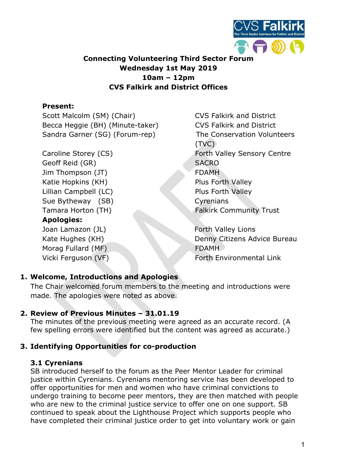

# Connecting Volunteering Third Sector Forum Wednesday 1st May 2019 10am – 12pm CVS Falkirk and District Offices

### Present:

Scott Malcolm (SM) (Chair) CVS Falkirk and District Becca Heggie (BH) (Minute-taker) CVS Falkirk and District Sandra Garner (SG) (Forum-rep) The Conservation Volunteers

Geoff Reid (GR) SACRO Jim Thompson (JT) FDAMH Katie Hopkins (KH) Plus Forth Valley Lillian Campbell (LC) Plus Forth Valley Sue Bytheway (SB) Cyrenians Apologies:

Morag Fullard (MF) FDAMH

(TVC) Caroline Storey (CS) The Caroline Storey (CS) Forth Valley Sensory Centre Tamara Horton (TH) Falkirk Community Trust

Joan Lamazon (JL) **Forth Valley Lions** Kate Hughes (KH) Denny Citizens Advice Bureau Vicki Ferguson (VF) The Contract Contract Forth Environmental Link

## 1. Welcome, Introductions and Apologies

The Chair welcomed forum members to the meeting and introductions were made. The apologies were noted as above.

## 2. Review of Previous Minutes – 31.01.19

The minutes of the previous meeting were agreed as an accurate record. (A few spelling errors were identified but the content was agreed as accurate.)

# 3. Identifying Opportunities for co-production

## 3.1 Cyrenians

SB introduced herself to the forum as the Peer Mentor Leader for criminal justice within Cyrenians. Cyrenians mentoring service has been developed to offer opportunities for men and women who have criminal convictions to undergo training to become peer mentors, they are then matched with people who are new to the criminal justice service to offer one on one support. SB continued to speak about the Lighthouse Project which supports people who have completed their criminal justice order to get into voluntary work or gain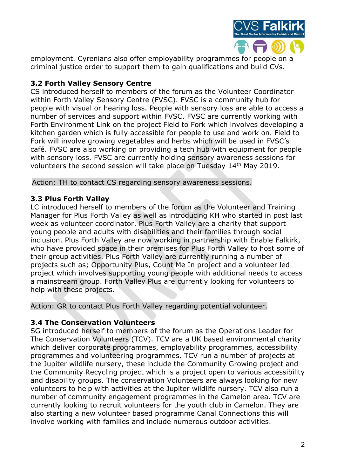

employment. Cyrenians also offer employability programmes for people on a criminal justice order to support them to gain qualifications and build CVs.

# 3.2 Forth Valley Sensory Centre

CS introduced herself to members of the forum as the Volunteer Coordinator within Forth Valley Sensory Centre (FVSC). FVSC is a community hub for people with visual or hearing loss. People with sensory loss are able to access a number of services and support within FVSC. FVSC are currently working with Forth Environment Link on the project Field to Fork which involves developing a kitchen garden which is fully accessible for people to use and work on. Field to Fork will involve growing vegetables and herbs which will be used in FVSC's café. FVSC are also working on providing a tech hub with equipment for people with sensory loss. FVSC are currently holding sensory awareness sessions for volunteers the second session will take place on Tuesday 14th May 2019.

Action: TH to contact CS regarding sensory awareness sessions.

## 3.3 Plus Forth Valley

LC introduced herself to members of the forum as the Volunteer and Training Manager for Plus Forth Valley as well as introducing KH who started in post last week as volunteer coordinator. Plus Forth Valley are a charity that support young people and adults with disabilities and their families through social inclusion. Plus Forth Valley are now working in partnership with Enable Falkirk, who have provided space in their premises for Plus Forth Valley to host some of their group activities. Plus Forth Valley are currently running a number of projects such as; Opportunity Plus, Count Me In project and a volunteer led project which involves supporting young people with additional needs to access a mainstream group. Forth Valley Plus are currently looking for volunteers to help with these projects.

Action: GR to contact Plus Forth Valley regarding potential volunteer.

## 3.4 The Conservation Volunteers

SG introduced herself to members of the forum as the Operations Leader for The Conservation Volunteers (TCV). TCV are a UK based environmental charity which deliver corporate programmes, employability programmes, accessibility programmes and volunteering programmes. TCV run a number of projects at the Jupiter wildlife nursery, these include the Community Growing project and the Community Recycling project which is a project open to various accessibility and disability groups. The conservation Volunteers are always looking for new volunteers to help with activities at the Jupiter wildlife nursery. TCV also run a number of community engagement programmes in the Camelon area. TCV are currently looking to recruit volunteers for the youth club in Camelon. They are also starting a new volunteer based programme Canal Connections this will involve working with families and include numerous outdoor activities.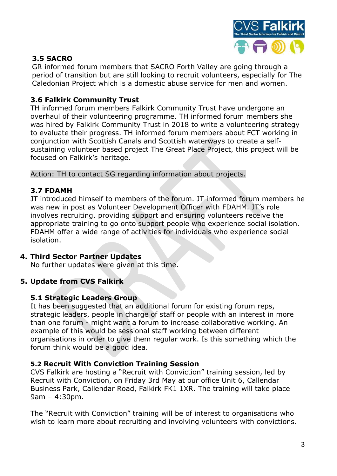

# 3.5 SACRO

GR informed forum members that SACRO Forth Valley are going through a period of transition but are still looking to recruit volunteers, especially for The Caledonian Project which is a domestic abuse service for men and women.

### 3.6 Falkirk Community Trust

TH informed forum members Falkirk Community Trust have undergone an overhaul of their volunteering programme. TH informed forum members she was hired by Falkirk Community Trust in 2018 to write a volunteering strategy to evaluate their progress. TH informed forum members about FCT working in conjunction with Scottish Canals and Scottish waterways to create a selfsustaining volunteer based project The Great Place Project, this project will be focused on Falkirk's heritage.

Action: TH to contact SG regarding information about projects.

### 3.7 FDAMH

JT introduced himself to members of the forum. JT informed forum members he was new in post as Volunteer Development Officer with FDAHM. JT's role involves recruiting, providing support and ensuring volunteers receive the appropriate training to go onto support people who experience social isolation. FDAHM offer a wide range of activities for individuals who experience social isolation.

#### 4. Third Sector Partner Updates

No further updates were given at this time.

## 5. Update from CVS Falkirk

#### 5.1 Strategic Leaders Group

It has been suggested that an additional forum for existing forum reps, strategic leaders, people in charge of staff or people with an interest in more than one forum - might want a forum to increase collaborative working. An example of this would be sessional staff working between different organisations in order to give them regular work. Is this something which the forum think would be a good idea.

#### 5.2 Recruit With Conviction Training Session

CVS Falkirk are hosting a "Recruit with Conviction" training session, led by Recruit with Conviction, on Friday 3rd May at our office Unit 6, Callendar Business Park, Callendar Road, Falkirk FK1 1XR. The training will take place 9am – 4:30pm.

The "Recruit with Conviction" training will be of interest to organisations who wish to learn more about recruiting and involving volunteers with convictions.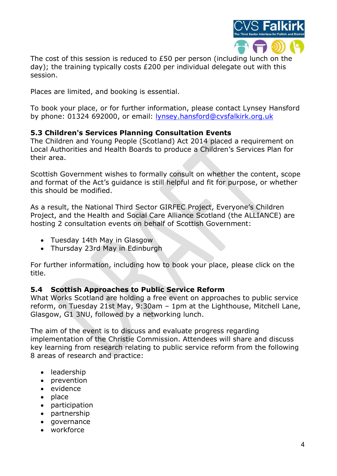

The cost of this session is reduced to £50 per person (including lunch on the day); the training typically costs £200 per individual delegate out with this session.

Places are limited, and booking is essential.

To book your place, or for further information, please contact Lynsey Hansford by phone: 01324 692000, or email: lynsey.hansford@cvsfalkirk.org.uk

## 5.3 Children's Services Planning Consultation Events

The Children and Young People (Scotland) Act 2014 placed a requirement on Local Authorities and Health Boards to produce a Children's Services Plan for their area.

Scottish Government wishes to formally consult on whether the content, scope and format of the Act's guidance is still helpful and fit for purpose, or whether this should be modified.

As a result, the National Third Sector GIRFEC Project, Everyone's Children Project, and the Health and Social Care Alliance Scotland (the ALLIANCE) are hosting 2 consultation events on behalf of Scottish Government:

- Tuesday 14th May in Glasgow
- Thursday 23rd May in Edinburgh

For further information, including how to book your place, please click on the title.

## 5.4 Scottish Approaches to Public Service Reform

What Works Scotland are holding a free event on approaches to public service reform, on Tuesday 21st May, 9:30am – 1pm at the Lighthouse, Mitchell Lane, Glasgow, G1 3NU, followed by a networking lunch.

The aim of the event is to discuss and evaluate progress regarding implementation of the Christie Commission. Attendees will share and discuss key learning from research relating to public service reform from the following 8 areas of research and practice:

- leadership
- prevention
- evidence
- $\bullet$  place
- participation
- partnership
- governance
- workforce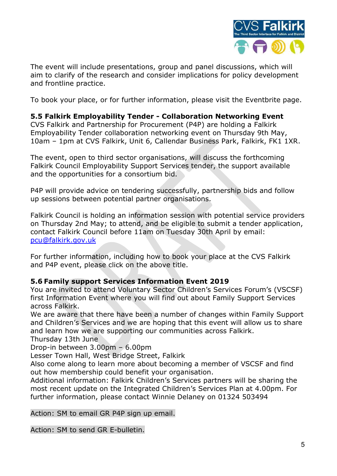

The event will include presentations, group and panel discussions, which will aim to clarify of the research and consider implications for policy development and frontline practice.

To book your place, or for further information, please visit the Eventbrite page.

# 5.5 Falkirk Employability Tender - Collaboration Networking Event

CVS Falkirk and Partnership for Procurement (P4P) are holding a Falkirk Employability Tender collaboration networking event on Thursday 9th May, 10am – 1pm at CVS Falkirk, Unit 6, Callendar Business Park, Falkirk, FK1 1XR.

The event, open to third sector organisations, will discuss the forthcoming Falkirk Council Employability Support Services tender, the support available and the opportunities for a consortium bid.

P4P will provide advice on tendering successfully, partnership bids and follow up sessions between potential partner organisations.

Falkirk Council is holding an information session with potential service providers on Thursday 2nd May; to attend, and be eligible to submit a tender application, contact Falkirk Council before 11am on Tuesday 30th April by email: pcu@falkirk.gov.uk

For further information, including how to book your place at the CVS Falkirk and P4P event, please click on the above title.

## 5.6 Family support Services Information Event 2019

You are invited to attend Voluntary Sector Children's Services Forum's (VSCSF) first Information Event where you will find out about Family Support Services across Falkirk.

We are aware that there have been a number of changes within Family Support and Children's Services and we are hoping that this event will allow us to share and learn how we are supporting our communities across Falkirk.

Thursday 13th June

Drop-in between 3.00pm – 6.00pm

Lesser Town Hall, West Bridge Street, Falkirk

Also come along to learn more about becoming a member of VSCSF and find out how membership could benefit your organisation.

Additional information: Falkirk Children's Services partners will be sharing the most recent update on the Integrated Children's Services Plan at 4.00pm. For further information, please contact Winnie Delaney on 01324 503494

Action: SM to email GR P4P sign up email.

Action: SM to send GR E-bulletin.